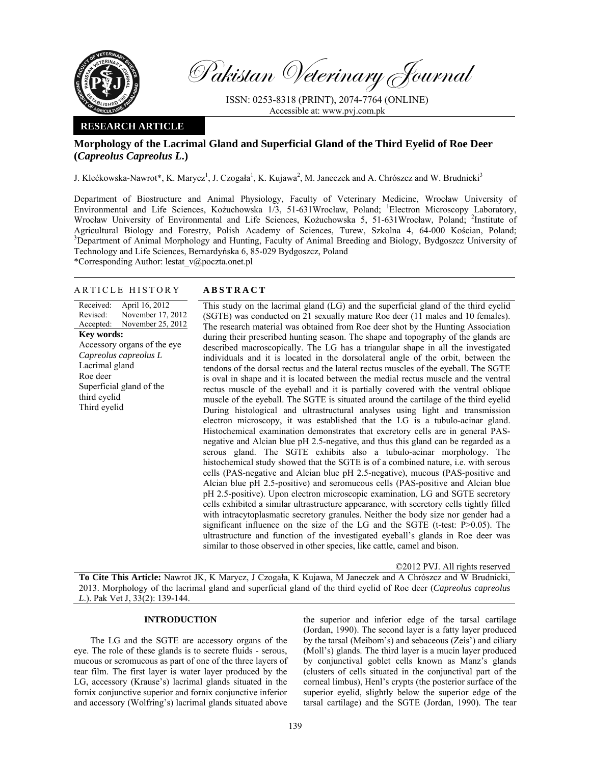

Pakistan Veterinary Journal

ISSN: 0253-8318 (PRINT), 2074-7764 (ONLINE) Accessible at: www.pvj.com.pk

## **RESEARCH ARTICLE**

# **Morphology of the Lacrimal Gland and Superficial Gland of the Third Eyelid of Roe Deer (***Capreolus Capreolus L***.)**

J. Klećkowska-Nawrot\*, K. Marycz<sup>1</sup>, J. Czogała<sup>1</sup>, K. Kujawa<sup>2</sup>, M. Janeczek and A. Chrószcz and W. Brudnicki<sup>3</sup>

Department of Biostructure and Animal Physiology, Faculty of Veterinary Medicine, Wrocław University of Environmental and Life Sciences, Kożuchowska 1/3, 51-631Wrocław, Poland; <sup>1</sup>Electron Microscopy Laboratory, Wrocław University of Environmental and Life Sciences, Kożuchowska 5, 51-631Wrocław, Poland; <sup>2</sup>Institute of Agricultural Biology and Forestry, Polish Academy of Sciences, Turew, Szkolna 4, 64-000 Kościan, Poland; 3<br>Poportment of Animal Marphelegy and Unpting Feavly of Animal Preeding and Biology Bydgegger University of <sup>3</sup>Department of Animal Morphology and Hunting, Faculty of Animal Breeding and Biology, Bydgoszcz University of Technology and Life Sciences, Bernardyńska 6, 85-029 Bydgoszcz, Poland

\*Corresponding Author: lestat\_v@poczta.onet.pl

## ARTICLE HISTORY **ABSTRACT**

Received: Revised: Accepted: April 16, 2012 November 17, 2012 November 25, 2012 **Key words:**  Accessory organs of the eye *Capreolus capreolus L*  Lacrimal gland Roe deer Superficial gland of the third eyelid Third eyelid

 This study on the lacrimal gland (LG) and the superficial gland of the third eyelid (SGTE) was conducted on 21 sexually mature Roe deer (11 males and 10 females). The research material was obtained from Roe deer shot by the Hunting Association during their prescribed hunting season. The shape and topography of the glands are described macroscopically. The LG has a triangular shape in all the investigated individuals and it is located in the dorsolateral angle of the orbit, between the tendons of the dorsal rectus and the lateral rectus muscles of the eyeball. The SGTE is oval in shape and it is located between the medial rectus muscle and the ventral rectus muscle of the eyeball and it is partially covered with the ventral oblique muscle of the eyeball. The SGTE is situated around the cartilage of the third eyelid During histological and ultrastructural analyses using light and transmission electron microscopy, it was established that the LG is a tubulo-acinar gland. Histochemical examination demonstrates that excretory cells are in general PASnegative and Alcian blue pH 2.5-negative, and thus this gland can be regarded as a serous gland. The SGTE exhibits also a tubulo-acinar morphology. The histochemical study showed that the SGTE is of a combined nature, i.e. with serous cells (PAS-negative and Alcian blue pH 2.5-negative), mucous (PAS-positive and Alcian blue pH 2.5-positive) and seromucous cells (PAS-positive and Alcian blue pH 2.5-positive). Upon electron microscopic examination, LG and SGTE secretory cells exhibited a similar ultrastructure appearance, with secretory cells tightly filled with intracytoplasmatic secretory granules. Neither the body size nor gender had a significant influence on the size of the LG and the SGTE (t-test: P>0.05). The ultrastructure and function of the investigated eyeball's glands in Roe deer was similar to those observed in other species, like cattle, camel and bison.

©2012 PVJ. All rights reserved

**To Cite This Article:** Nawrot JK, K Marycz, J Czogała, K Kujawa, M Janeczek and A Chrószcz and W Brudnicki, 2013. Morphology of the lacrimal gland and superficial gland of the third eyelid of Roe deer (*Capreolus capreolus L*.). Pak Vet J, 33(2): 139-144.

### **INTRODUCTION**

The LG and the SGTE are accessory organs of the eye. The role of these glands is to secrete fluids - serous, mucous or seromucous as part of one of the three layers of tear film. The first layer is water layer produced by the LG, accessory (Krause's) lacrimal glands situated in the fornix conjunctive superior and fornix conjunctive inferior and accessory (Wolfring's) lacrimal glands situated above the superior and inferior edge of the tarsal cartilage (Jordan, 1990). The second layer is a fatty layer produced by the tarsal (Meibom's) and sebaceous (Zeis') and ciliary (Moll's) glands. The third layer is a mucin layer produced by conjunctival goblet cells known as Manz's glands (clusters of cells situated in the conjunctival part of the corneal limbus), Henl's crypts (the posterior surface of the superior eyelid, slightly below the superior edge of the tarsal cartilage) and the SGTE (Jordan, 1990). The tear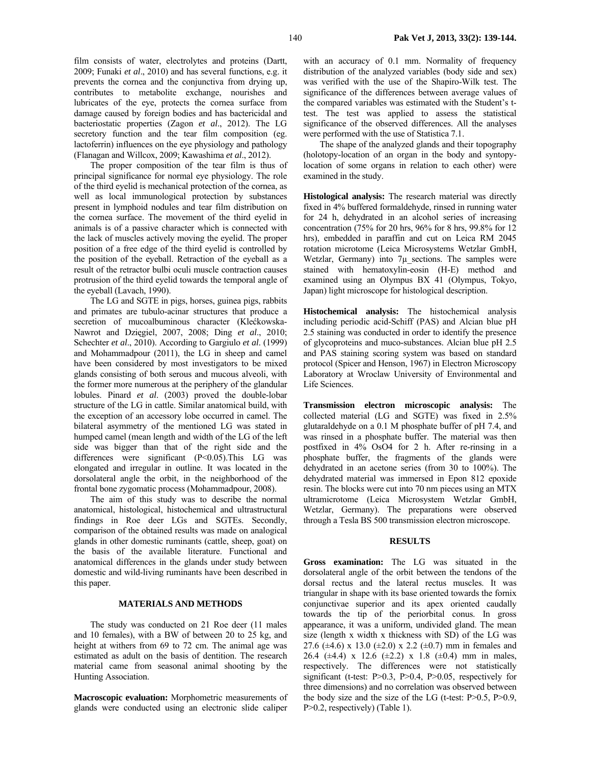film consists of water, electrolytes and proteins (Dartt, 2009; Funaki *et al*., 2010) and has several functions, e.g. it prevents the cornea and the conjunctiva from drying up, contributes to metabolite exchange, nourishes and lubricates of the eye, protects the cornea surface from damage caused by foreign bodies and has bactericidal and bacteriostatic properties (Zagon *et al*., 2012). The LG secretory function and the tear film composition (eg. lactoferrin) influences on the eye physiology and pathology (Flanagan and Willcox, 2009; Kawashima *et al*., 2012).

The proper composition of the tear film is thus of principal significance for normal eye physiology. The role of the third eyelid is mechanical protection of the cornea, as well as local immunological protection by substances present in lymphoid nodules and tear film distribution on the cornea surface. The movement of the third eyelid in animals is of a passive character which is connected with the lack of muscles actively moving the eyelid. The proper position of a free edge of the third eyelid is controlled by the position of the eyeball. Retraction of the eyeball as a result of the retractor bulbi oculi muscle contraction causes protrusion of the third eyelid towards the temporal angle of the eyeball (Lavach, 1990).

The LG and SGTE in pigs, horses, guinea pigs, rabbits and primates are tubulo-acinar structures that produce a secretion of mucoalbuminous character (Klećkowska-Nawrot and Dzięgiel, 2007, 2008; Ding *et al*., 2010; Schechter *et al*., 2010). According to Gargiulo *et al*. (1999) and Mohammadpour (2011), the LG in sheep and camel have been considered by most investigators to be mixed glands consisting of both serous and mucous alveoli, with the former more numerous at the periphery of the glandular lobules. Pinard *et al*. (2003) proved the double-lobar structure of the LG in cattle. Similar anatomical build, with the exception of an accessory lobe occurred in camel. The bilateral asymmetry of the mentioned LG was stated in humped camel (mean length and width of the LG of the left side was bigger than that of the right side and the differences were significant (P<0.05). This LG was elongated and irregular in outline. It was located in the dorsolateral angle the orbit, in the neighborhood of the frontal bone zygomatic process (Mohammadpour, 2008).

The aim of this study was to describe the normal anatomical, histological, histochemical and ultrastructural findings in Roe deer LGs and SGTEs. Secondly, comparison of the obtained results was made on analogical glands in other domestic ruminants (cattle, sheep, goat) on the basis of the available literature. Functional and anatomical differences in the glands under study between domestic and wild-living ruminants have been described in this paper.

# **MATERIALS AND METHODS**

The study was conducted on 21 Roe deer (11 males and 10 females), with a BW of between 20 to 25 kg, and height at withers from 69 to 72 cm. The animal age was estimated as adult on the basis of dentition. The research material came from seasonal animal shooting by the Hunting Association.

**Macroscopic evaluation:** Morphometric measurements of glands were conducted using an electronic slide caliper

with an accuracy of 0.1 mm. Normality of frequency distribution of the analyzed variables (body side and sex) was verified with the use of the Shapiro-Wilk test. The significance of the differences between average values of the compared variables was estimated with the Student's ttest. The test was applied to assess the statistical significance of the observed differences. All the analyses were performed with the use of Statistica 7.1.

The shape of the analyzed glands and their topography (holotopy-location of an organ in the body and syntopylocation of some organs in relation to each other) were examined in the study.

**Histological analysis:** The research material was directly fixed in 4% buffered formaldehyde, rinsed in running water for 24 h, dehydrated in an alcohol series of increasing concentration (75% for 20 hrs, 96% for 8 hrs, 99.8% for 12 hrs), embedded in paraffin and cut on Leica RM 2045 rotation microtome (Leica Microsystems Wetzlar GmbH, Wetzlar, Germany) into  $7\mu$  sections. The samples were stained with hematoxylin-eosin (H-E) method and examined using an Olympus BX 41 (Olympus, Tokyo, Japan) light microscope for histological description.

**Histochemical analysis:** The histochemical analysis including periodic acid-Schiff (PAS) and Alcian blue pH 2.5 staining was conducted in order to identify the presence of glycoproteins and muco-substances. Alcian blue pH 2.5 and PAS staining scoring system was based on standard protocol (Spicer and Henson, 1967) in Electron Microscopy Laboratory at Wroclaw University of Environmental and Life Sciences.

**Transmission electron microscopic analysis:** The collected material (LG and SGTE) was fixed in 2.5% glutaraldehyde on a 0.1 M phosphate buffer of pH 7.4, and was rinsed in a phosphate buffer. The material was then postfixed in 4% OsO4 for 2 h. After re-rinsing in a phosphate buffer, the fragments of the glands were dehydrated in an acetone series (from 30 to 100%). The dehydrated material was immersed in Epon 812 epoxide resin. The blocks were cut into 70 nm pieces using an MTX ultramicrotome (Leica Microsystem Wetzlar GmbH, Wetzlar, Germany). The preparations were observed through a Tesla BS 500 transmission electron microscope.

## **RESULTS**

**Gross examination:** The LG was situated in the dorsolateral angle of the orbit between the tendons of the dorsal rectus and the lateral rectus muscles. It was triangular in shape with its base oriented towards the fornix conjunctivae superior and its apex oriented caudally towards the tip of the periorbital conus. In gross appearance, it was a uniform, undivided gland. The mean size (length x width x thickness with SD) of the LG was 27.6 ( $\pm$ 4.6) x 13.0 ( $\pm$ 2.0) x 2.2 ( $\pm$ 0.7) mm in females and 26.4 ( $\pm$ 4.4) x 12.6 ( $\pm$ 2.2) x 1.8 ( $\pm$ 0.4) mm in males, respectively. The differences were not statistically significant (t-test: P>0.3, P>0.4, P>0.05, respectively for three dimensions) and no correlation was observed between the body size and the size of the LG (t-test:  $P > 0.5$ ,  $P > 0.9$ , P>0.2, respectively) (Table 1).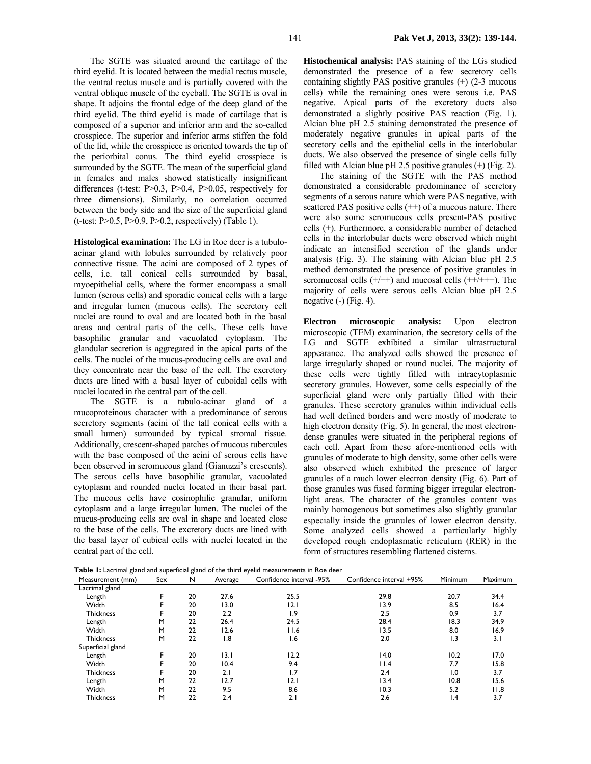The SGTE was situated around the cartilage of the third eyelid. It is located between the medial rectus muscle, the ventral rectus muscle and is partially covered with the ventral oblique muscle of the eyeball. The SGTE is oval in shape. It adjoins the frontal edge of the deep gland of the third eyelid. The third eyelid is made of cartilage that is composed of a superior and inferior arm and the so-called crosspiece. The superior and inferior arms stiffen the fold of the lid, while the crosspiece is oriented towards the tip of the periorbital conus. The third eyelid crosspiece is surrounded by the SGTE. The mean of the superficial gland in females and males showed statistically insignificant differences (t-test:  $P > 0.3$ ,  $P > 0.4$ ,  $P > 0.05$ , respectively for three dimensions). Similarly, no correlation occurred between the body side and the size of the superficial gland (t-test:  $P > 0.5$ ,  $P > 0.9$ ,  $P > 0.2$ , respectively) (Table 1).

**Histological examination:** The LG in Roe deer is a tubuloacinar gland with lobules surrounded by relatively poor connective tissue. The acini are composed of 2 types of cells, i.e. tall conical cells surrounded by basal, myoepithelial cells, where the former encompass a small lumen (serous cells) and sporadic conical cells with a large and irregular lumen (mucous cells). The secretory cell nuclei are round to oval and are located both in the basal areas and central parts of the cells. These cells have basophilic granular and vacuolated cytoplasm. The glandular secretion is aggregated in the apical parts of the cells. The nuclei of the mucus-producing cells are oval and they concentrate near the base of the cell. The excretory ducts are lined with a basal layer of cuboidal cells with nuclei located in the central part of the cell.

The SGTE is a tubulo-acinar gland of a mucoproteinous character with a predominance of serous secretory segments (acini of the tall conical cells with a small lumen) surrounded by typical stromal tissue. Additionally, crescent-shaped patches of mucous tubercules with the base composed of the acini of serous cells have been observed in seromucous gland (Gianuzzi's crescents). The serous cells have basophilic granular, vacuolated cytoplasm and rounded nuclei located in their basal part. The mucous cells have eosinophilic granular, uniform cytoplasm and a large irregular lumen. The nuclei of the mucus-producing cells are oval in shape and located close to the base of the cells. The excretory ducts are lined with the basal layer of cubical cells with nuclei located in the central part of the cell.

**Histochemical analysis:** PAS staining of the LGs studied demonstrated the presence of a few secretory cells containing slightly PAS positive granules (+) (2-3 mucous cells) while the remaining ones were serous i.e. PAS negative. Apical parts of the excretory ducts also demonstrated a slightly positive PAS reaction (Fig. 1). Alcian blue pH 2.5 staining demonstrated the presence of moderately negative granules in apical parts of the secretory cells and the epithelial cells in the interlobular ducts. We also observed the presence of single cells fully filled with Alcian blue pH 2.5 positive granules  $(+)$  (Fig. 2).

The staining of the SGTE with the PAS method demonstrated a considerable predominance of secretory segments of a serous nature which were PAS negative, with scattered PAS positive cells  $(++)$  of a mucous nature. There were also some seromucous cells present-PAS positive cells (+). Furthermore, a considerable number of detached cells in the interlobular ducts were observed which might indicate an intensified secretion of the glands under analysis (Fig. 3). The staining with Alcian blue pH 2.5 method demonstrated the presence of positive granules in seromucosal cells  $(+/++)$  and mucosal cells  $(+/++)$ . The majority of cells were serous cells Alcian blue pH 2.5 negative (-) (Fig. 4).

**Electron microscopic analysis:** Upon electron microscopic (TEM) examination, the secretory cells of the LG and SGTE exhibited a similar ultrastructural appearance. The analyzed cells showed the presence of large irregularly shaped or round nuclei. The majority of these cells were tightly filled with intracytoplasmic secretory granules. However, some cells especially of the superficial gland were only partially filled with their granules. These secretory granules within individual cells had well defined borders and were mostly of moderate to high electron density (Fig. 5). In general, the most electrondense granules were situated in the peripheral regions of each cell. Apart from these afore-mentioned cells with granules of moderate to high density, some other cells were also observed which exhibited the presence of larger granules of a much lower electron density (Fig. 6). Part of those granules was fused forming bigger irregular electronlight areas. The character of the granules content was mainly homogenous but sometimes also slightly granular especially inside the granules of lower electron density. Some analyzed cells showed a particularly highly developed rough endoplasmatic reticulum (RER) in the form of structures resembling flattened cisterns.

| <b>l able 1:</b> Lacrimal gland and superficial gland of the third eyelid measurements in Roe deer |     |    |         |                          |                          |         |         |
|----------------------------------------------------------------------------------------------------|-----|----|---------|--------------------------|--------------------------|---------|---------|
| Measurement (mm)                                                                                   | Sex | N  | Average | Confidence interval -95% | Confidence interval +95% | Minimum | Maximum |
| Lacrimal gland                                                                                     |     |    |         |                          |                          |         |         |
| Length                                                                                             | F   | 20 | 27.6    | 25.5                     | 29.8                     | 20.7    | 34.4    |
| Width                                                                                              |     | 20 | 13.0    | 12.I                     | 13.9                     | 8.5     | 16.4    |
| <b>Thickness</b>                                                                                   |     | 20 | 2.2     | $\overline{1.9}$         | 2.5                      | 0.9     | 3.7     |
| Length                                                                                             | м   | 22 | 26.4    | 24.5                     | 28.4                     | 18.3    | 34.9    |
| Width                                                                                              | м   | 22 | 12.6    | 11.6                     | 13.5                     | 8.0     | 16.9    |
| <b>Thickness</b>                                                                                   | M   | 22 | 8. ا    | 1.6                      | 2.0                      | 1.3     | 3. I    |
| Superficial gland                                                                                  |     |    |         |                          |                          |         |         |
| Length                                                                                             | F   | 20 | 13.1    | 12.2                     | 14.0                     | 10.2    | 17.0    |
| Width                                                                                              |     | 20 | 10.4    | 9.4                      | l I.4                    | 7.7     | 15.8    |
| <b>Thickness</b>                                                                                   |     | 20 | 2.1     | 1.7                      | 2.4                      | 0. ا    | 3.7     |
| Length                                                                                             | м   | 22 | 12.7    | I 2. I                   | 13.4                     | 10.8    | 15.6    |
| Width                                                                                              | M   | 22 | 9.5     | 8.6                      | 10.3                     | 5.2     | I I.8   |
| <b>Thickness</b>                                                                                   | м   | 22 | 2.4     | 2.1                      | 2.6                      | 4. ا    | 3.7     |

**Table 1:** Lacrimal gland and superficial gland of the third eyelid measurements in Roe deer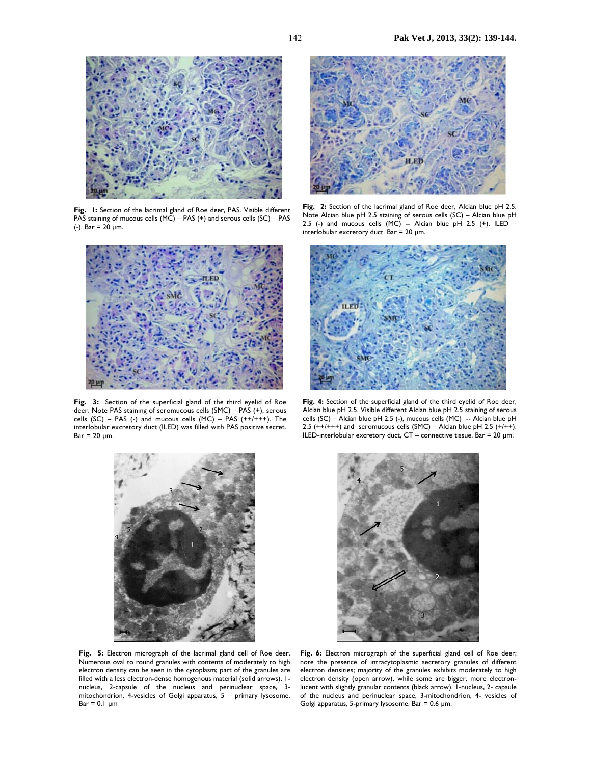

**Fig. 1:** Section of the lacrimal gland of Roe deer, PAS. Visible different PAS staining of mucous cells (MC) – PAS (+) and serous cells (SC) – PAS (-). Bar =  $20 \mu m$ .



**Fig. 3:** Section of the superficial gland of the third eyelid of Roe deer. Note PAS staining of seromucous cells (SMC) – PAS (+), serous cells (SC) – PAS (-) and mucous cells  $(MC)$  – PAS  $(++)+$ ++). The interlobular excretory duct (ILED) was filled with PAS positive secret.  $Bar = 20 \mu m$ .



**Fig. 5:** Electron micrograph of the lacrimal gland cell of Roe deer. Numerous oval to round granules with contents of moderately to high electron density can be seen in the cytoplasm; part of the granules are filled with a less electron-dense homogenous material (solid arrows). 1 nucleus, 2-capsule of the nucleus and perinuclear space, 3 mitochondrion, 4-vesicles of Golgi apparatus, 5 – primary lysosome.  $Bar = 0.1 \mu m$ 



**Fig. 2:** Section of the lacrimal gland of Roe deer, Alcian blue pH 2.5. Note Alcian blue pH 2.5 staining of serous cells (SC) – Alcian blue pH 2.5 (-) and mucous cells  $(MC)$  -- Alcian blue pH 2.5 (+). ILED interlobular excretory duct. Bar =  $20 \mu m$ .



**Fig. 4:** Section of the superficial gland of the third eyelid of Roe deer, Alcian blue pH 2.5. Visible different Alcian blue pH 2.5 staining of serous cells (SC) – Alcian blue pH 2.5 (-), mucous cells (MC) -- Alcian blue pH 2.5  $(++/++)$  and seromucous cells (SMC) – Alcian blue pH 2.5  $(+/++)$ . ILED-interlobular excretory duct, CT – connective tissue. Bar = 20 µm.



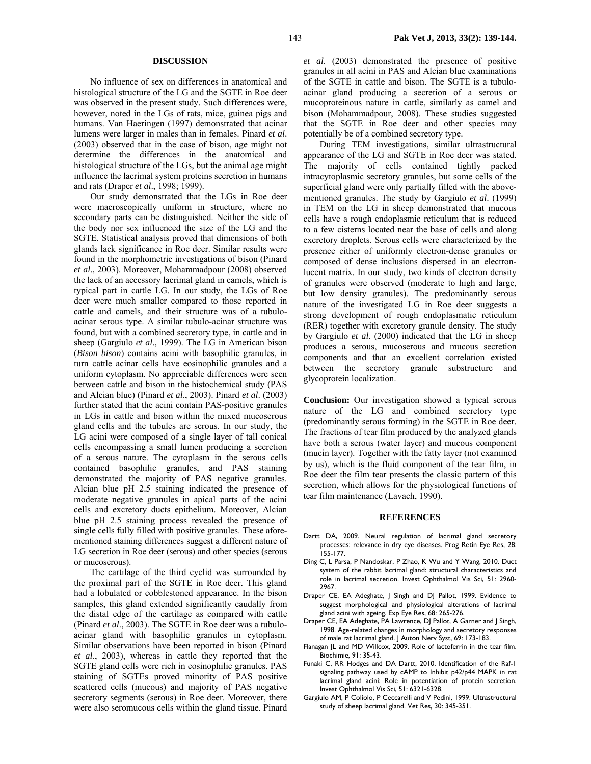#### **DISCUSSION**

No influence of sex on differences in anatomical and histological structure of the LG and the SGTE in Roe deer was observed in the present study. Such differences were, however, noted in the LGs of rats, mice, guinea pigs and humans. Van Haeringen (1997) demonstrated that acinar lumens were larger in males than in females. Pinard *et al*. (2003) observed that in the case of bison, age might not determine the differences in the anatomical and histological structure of the LGs, but the animal age might influence the lacrimal system proteins secretion in humans and rats (Draper *et al*., 1998; 1999).

Our study demonstrated that the LGs in Roe deer were macroscopically uniform in structure, where no secondary parts can be distinguished. Neither the side of the body nor sex influenced the size of the LG and the SGTE. Statistical analysis proved that dimensions of both glands lack significance in Roe deer. Similar results were found in the morphometric investigations of bison (Pinard *et al*., 2003). Moreover, Mohammadpour (2008) observed the lack of an accessory lacrimal gland in camels, which is typical part in cattle LG. In our study, the LGs of Roe deer were much smaller compared to those reported in cattle and camels, and their structure was of a tubuloacinar serous type. A similar tubulo-acinar structure was found, but with a combined secretory type, in cattle and in sheep (Gargiulo *et al*., 1999). The LG in American bison (*Bison bison*) contains acini with basophilic granules, in turn cattle acinar cells have eosinophilic granules and a uniform cytoplasm. No appreciable differences were seen between cattle and bison in the histochemical study (PAS and Alcian blue) (Pinard *et al*., 2003). Pinard *et al*. (2003) further stated that the acini contain PAS-positive granules in LGs in cattle and bison within the mixed mucoserous gland cells and the tubules are serous. In our study, the LG acini were composed of a single layer of tall conical cells encompassing a small lumen producing a secretion of a serous nature. The cytoplasm in the serous cells contained basophilic granules, and PAS staining demonstrated the majority of PAS negative granules. Alcian blue pH 2.5 staining indicated the presence of moderate negative granules in apical parts of the acini cells and excretory ducts epithelium. Moreover, Alcian blue pH 2.5 staining process revealed the presence of single cells fully filled with positive granules. These aforementioned staining differences suggest a different nature of LG secretion in Roe deer (serous) and other species (serous or mucoserous).

The cartilage of the third eyelid was surrounded by the proximal part of the SGTE in Roe deer. This gland had a lobulated or cobblestoned appearance. In the bison samples, this gland extended significantly caudally from the distal edge of the cartilage as compared with cattle (Pinard *et al*., 2003). The SGTE in Roe deer was a tubuloacinar gland with basophilic granules in cytoplasm. Similar observations have been reported in bison (Pinard *et al*., 2003), whereas in cattle they reported that the SGTE gland cells were rich in eosinophilic granules. PAS staining of SGTEs proved minority of PAS positive scattered cells (mucous) and majority of PAS negative secretory segments (serous) in Roe deer. Moreover, there were also seromucous cells within the gland tissue. Pinard

*et al*. (2003) demonstrated the presence of positive granules in all acini in PAS and Alcian blue examinations of the SGTE in cattle and bison. The SGTE is a tubuloacinar gland producing a secretion of a serous or mucoproteinous nature in cattle, similarly as camel and bison (Mohammadpour, 2008). These studies suggested that the SGTE in Roe deer and other species may potentially be of a combined secretory type.

During TEM investigations, similar ultrastructural appearance of the LG and SGTE in Roe deer was stated. The majority of cells contained tightly packed intracytoplasmic secretory granules, but some cells of the superficial gland were only partially filled with the abovementioned granules. The study by Gargiulo *et al*. (1999) in TEM on the LG in sheep demonstrated that mucous cells have a rough endoplasmic reticulum that is reduced to a few cisterns located near the base of cells and along excretory droplets. Serous cells were characterized by the presence either of uniformly electron-dense granules or composed of dense inclusions dispersed in an electronlucent matrix. In our study, two kinds of electron density of granules were observed (moderate to high and large, but low density granules). The predominantly serous nature of the investigated LG in Roe deer suggests a strong development of rough endoplasmatic reticulum (RER) together with excretory granule density. The study by Gargiulo *et al*. (2000) indicated that the LG in sheep produces a serous, mucoserous and mucous secretion components and that an excellent correlation existed between the secretory granule substructure and glycoprotein localization.

**Conclusion:** Our investigation showed a typical serous nature of the LG and combined secretory type (predominantly serous forming) in the SGTE in Roe deer. The fractions of tear film produced by the analyzed glands have both a serous (water layer) and mucous component (mucin layer). Together with the fatty layer (not examined by us), which is the fluid component of the tear film, in Roe deer the film tear presents the classic pattern of this secretion, which allows for the physiological functions of tear film maintenance (Lavach, 1990).

#### **REFERENCES**

- Dartt DA, 2009. Neural regulation of lacrimal gland secretory processes: relevance in dry eye diseases. Prog Retin Eye Res, 28: 155-177.
- Ding C, L Parsa, P Nandoskar, P Zhao, K Wu and Y Wang, 2010. Duct system of the rabbit lacrimal gland: structural characteristics and role in lacrimal secretion. Invest Ophthalmol Vis Sci, 51: 2960- 2967.
- Draper CE, EA Adeghate, | Singh and D| Pallot, 1999. Evidence to suggest morphological and physiological alterations of lacrimal gland acini with ageing. Exp Eye Res, 68: 265-276.
- Draper CE, EA Adeghate, PA Lawrence, DJ Pallot, A Garner and J Singh, 1998. Age-related changes in morphology and secretory responses of male rat lacrimal gland. J Auton Nerv Syst, 69: 173-183.
- Flanagan JL and MD Willcox, 2009. Role of lactoferrin in the tear film. Biochimie, 91: 35-43.
- Funaki C, RR Hodges and DA Dartt, 2010. Identification of the Raf-1 signaling pathway used by cAMP to Inhibit p42/p44 MAPK in rat lacrimal gland acini: Role in potentiation of protein secretion. Invest Ophthalmol Vis Sci, 51: 6321-6328.
- Gargiulo AM, P Coliolo, P Ceccarelli and V Pedini, 1999. Ultrastructural study of sheep lacrimal gland. Vet Res, 30: 345-351.